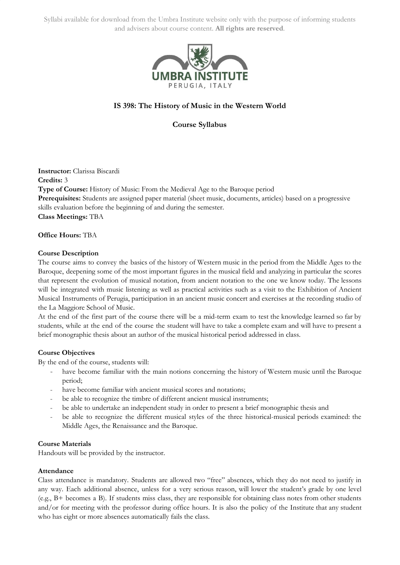

# **IS 398: The History of Music in the Western World**

**Course Syllabus**

**Instructor:** Clarissa Biscardi **Credits:** 3 **Type of Course:** History of Music: From the Medieval Age to the Baroque period **Prerequisites:** Students are assigned paper material (sheet music, documents, articles) based on a progressive skills evaluation before the beginning of and during the semester. **Class Meetings:** TBA

**Office Hours:** TBA

#### **Course Description**

The course aims to convey the basics of the history of Western music in the period from the Middle Ages to the Baroque, deepening some of the most important figures in the musical field and analyzing in particular the scores that represent the evolution of musical notation, from ancient notation to the one we know today. The lessons will be integrated with music listening as well as practical activities such as a visit to the Exhibition of Ancient Musical Instruments of Perugia, participation in an ancient music concert and exercises at the recording studio of the La Maggiore School of Music.

At the end of the first part of the course there will be a mid-term exam to test the knowledge learned so far by students, while at the end of the course the student will have to take a complete exam and will have to present a brief monographic thesis about an author of the musical historical period addressed in class.

## **Course Objectives**

By the end of the course, students will:

- have become familiar with the main notions concerning the history of Western music until the Baroque period;
- have become familiar with ancient musical scores and notations;
- be able to recognize the timbre of different ancient musical instruments;
- be able to undertake an independent study in order to present a brief monographic thesis and
- be able to recognize the different musical styles of the three historical-musical periods examined: the Middle Ages, the Renaissance and the Baroque.

#### **Course Materials**

Handouts will be provided by the instructor.

#### **Attendance**

Class attendance is mandatory. Students are allowed two "free" absences, which they do not need to justify in any way. Each additional absence, unless for a very serious reason, will lower the student's grade by one level (e.g., B+ becomes a B). If students miss class, they are responsible for obtaining class notes from other students and/or for meeting with the professor during office hours. It is also the policy of the Institute that any student who has eight or more absences automatically fails the class.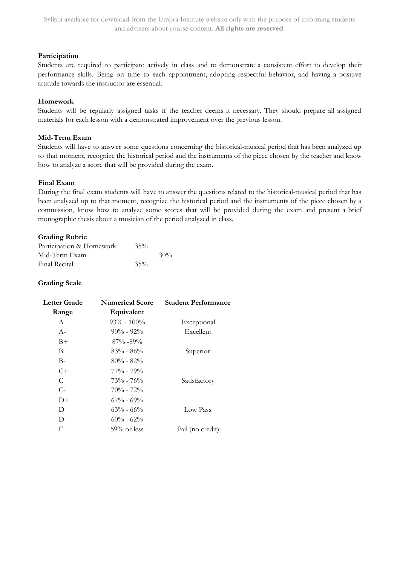## **Participation**

Students are required to participate actively in class and to demonstrate a consistent effort to develop their performance skills. Being on time to each appointment, adopting respectful behavior, and having a positive attitude towards the instructor are essential.

## **Homework**

Students will be regularly assigned tasks if the teacher deems it necessary. They should prepare all assigned materials for each lesson with a demonstrated improvement over the previous lesson.

## **Mid-Term Exam**

Students will have to answer some questions concerning the historical-musical period that has been analyzed up to that moment, recognize the historical period and the instruments of the piece chosen by the teacher and know how to analyze a score that will be provided during the exam.

## **Final Exam**

During the final exam students will have to answer the questions related to the historical-musical period that has been analyzed up to that moment, recognize the historical period and the instruments of the piece chosen by a commission, know how to analyze some scores that will be provided during the exam and present a brief monographic thesis about a musician of the period analyzed in class.

## **Grading Rubric**

| Participation & Homework | $35\%$ |        |
|--------------------------|--------|--------|
| Mid-Term Exam            |        | $30\%$ |
| Final Recital            | $35\%$ |        |

## **Grading Scale**

| Letter Grade | <b>Numerical Score</b> | <b>Student Performance</b> |  |
|--------------|------------------------|----------------------------|--|
| Range        | Equivalent             |                            |  |
| A            | $93\% - 100\%$         | Exceptional                |  |
| $A-$         | $90\% - 92\%$          | Excellent                  |  |
| $B+$         | $87\% - 89\%$          |                            |  |
| B            | $83\% - 86\%$          | Superior                   |  |
| $B-$         | $80\% - 82\%$          |                            |  |
| $C+$         | $77\%$ - $79\%$        |                            |  |
| C            | $73\% - 76\%$          | Satisfactory               |  |
| $C-$         | $70\% - 72\%$          |                            |  |
| $D+$         | $67\%$ - $69\%$        |                            |  |
| D            | $63\% - 66\%$          | Low Pass                   |  |
| $D-$         | $60\% - 62\%$          |                            |  |
| F            | $59\%$ or less         | Fail (no credit)           |  |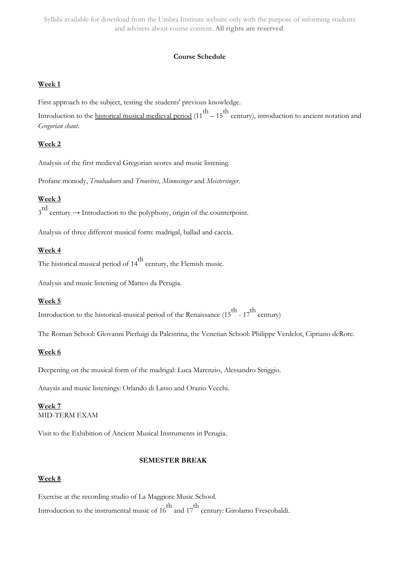#### **Course Schedule**

#### **Week 1**

First approach to the subject, testing the students' previous knowledge.

Introduction to the <u>historical musical medieval period</u>  $(11^{th} - 15^{th}$  century), introduction to ancient notation and *Gregorian chant*.

## **Week 2**

Analysis of the first medieval Gregorian scores and music listening.

Profane monody, *Troubadours* and *Trouvères*, *Minnesinger* and *Meistersinger*.

# **Week 3**

 $3<sup>rd</sup>$  century  $\rightarrow$  Introduction to the polyphony, origin of the counterpoint.

Analysis of three different musical form: madrigal, ballad and caccia.

## **Week 4**

The historical musical period of  $14^{th}$  century, the Flemish music.

Analysis and music listening of Matteo da Perugia.

## **Week 5**

Introduction to the historical-musical period of the Renaissance (15<sup>th</sup> - 17<sup>th</sup> century)

The Roman School: Giovanni Pierluigi da Palestrina, the Venetian School: Philippe Verdelot, Cipriano deRore.

#### **Week 6**

Deepening on the musical form of the madrigal: Luca Marenzio, Alessandro Striggio.

Anaysis and music listenings: Orlando di Lasso and Orazio Vecchi.

#### **Week 7** MID-TERM EXAM

Visit to the Exhibition of Ancient Musical Instruments in Perugia.

## **SEMESTER BREAK**

## **Week 8**

Exercise at the recording studio of La Maggiore Music School. Introduction to the instrumental music of 16<sup>th</sup> and 17<sup>th</sup> century: Girolamo Frescobaldi.